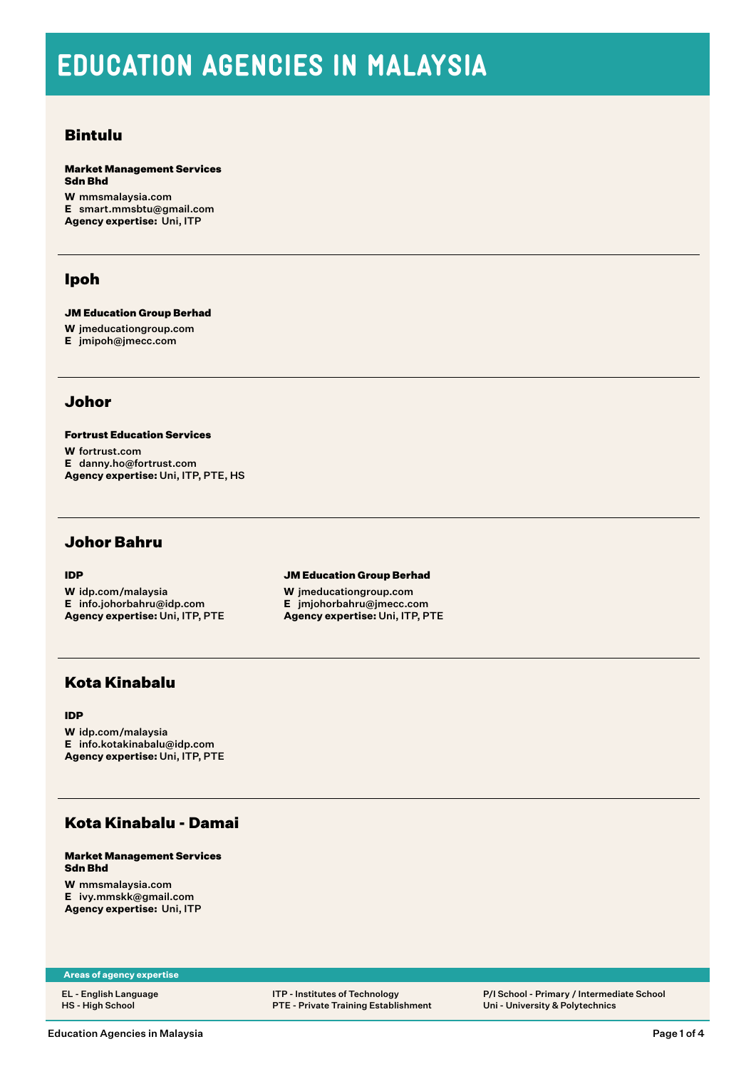# EDUCATION AGENCIES IN MALAYSIA

### Bintulu

Market Management Services Sdn Bhd

**W** [mmsmalaysia.com](http://mmsmalaysia.com) **E** [smart.mmsbtu@gmail.com](mailto:smart.mmsbtu@gmail.com) **Agency expertise:** Uni, ITP

# Ipoh

JM Education Group Berhad

**W** [jmeducationgroup.com](http://jmeducationgroup.com)

**E** [jmipoh@jmecc.com](mailto:jmipoh@jmecc.com)

### Johor

Fortrust Education Services **W** [fortrust.com](http://fortrust.com) **E** [danny.ho@fortrust.com](mailto:danny.ho@fortrust.com) **Agency expertise:** Uni, ITP, PTE, HS

### Johor Bahru

### IDP

**W** [idp.com/malaysia](http://idp.com/malaysia) **E** [info.johorbahru@idp.com](mailto:info.johorbahru@idp.com) **Agency expertise:** Uni, ITP, PTE JM Education Group Berhad

**W** [jmeducationgroup.com](http://jmeducationgroup.com) **E** [jmjohorbahru@jmecc.com](mailto:jmjohorbahru@jmecc.com) **Agency expertise:** Uni, ITP, PTE

# Kota Kinabalu

### IDP

**W** [idp.com/malaysia](http://idp.com/malaysia) **E** [info.kotakinabalu@idp.com](mailto:info.kotakinabalu@idp.com) **Agency expertise:** Uni, ITP, PTE

# Kota Kinabalu - Damai

### Market Management Services Sdn Bhd

**W** [mmsmalaysia.com](http://mmsmalaysia.com) **E** [ivy.mmskk@gmail.com](mailto:ivy.mmskk@gmail.com) **Agency expertise:** Uni, ITP

**Areas of agency expertise**

EL - English Language HS - High School

ITP - Institutes of Technology PTE - Private Training Establishment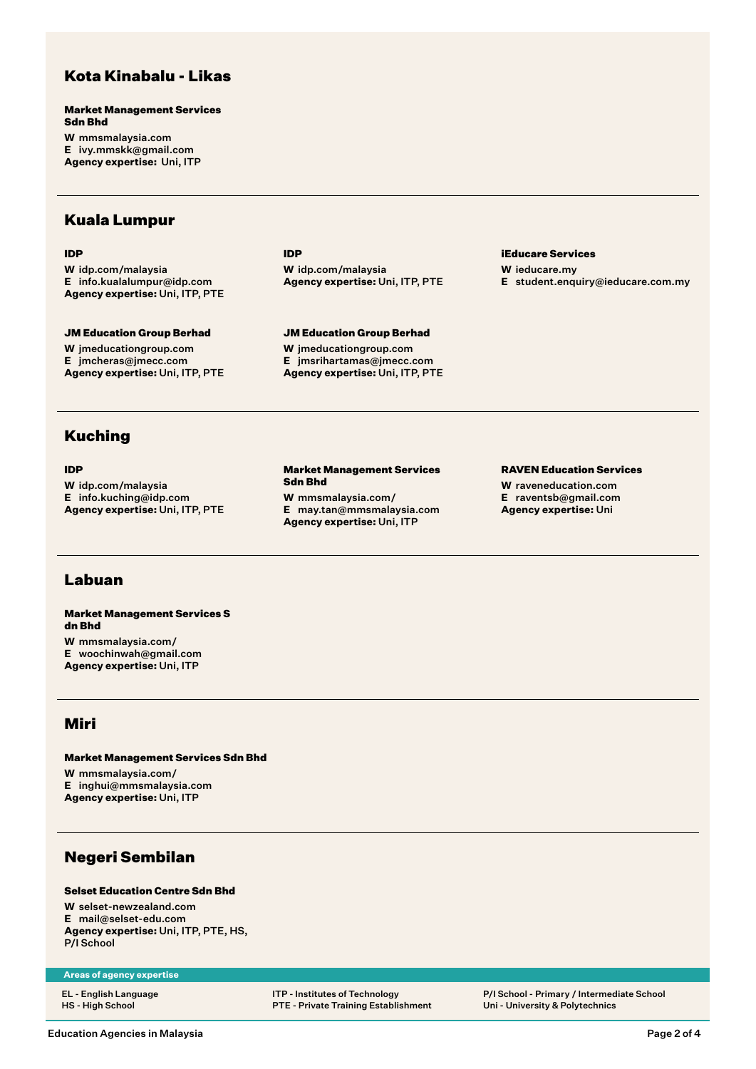# Kota Kinabalu - Likas

Market Management Services Sdn Bhd **W** [mmsmalaysia.com](http://mmsmalaysia.com)

**E** [ivy.mmskk@gmail.com](mailto:ivy.mmskk@gmail.com) **Agency expertise:** Uni, ITP

### Kuala Lumpur

#### IDP

**W** [idp.com/malaysia](http://idp.com/malaysia) **E** [info.kualalumpur@idp.com](mailto:info.kualalumpur@idp.com) **Agency expertise:** Uni, ITP, PTE

#### JM Education Group Berhad **W** [jmeducationgroup.com](http://jmeducationgroup.com) **E** [jmcheras@jmecc.com](mailto:jmcheras@jmecc.com) **Agency expertise:** Uni, ITP, PTE

IDP **W** [idp.com/malaysia](http://idp.com/malaysia) **Agency expertise:** Uni, ITP, PTE

JM Education Group Berhad **W** [jmeducationgroup.com](http://jmeducationgroup.com) **E** [jmsrihartamas@jmecc.com](mailto:jmsrihartamas@jmecc.com) **Agency expertise:** Uni, ITP, PTE iEducare Services

**W** [ieducare.my](http://ieducare.my) **E** [student.enquiry@ieducare.com.my](mailto:student.enquiry@ieducare.com.my)

# Kuching

### IDP

**W** [idp.com/malaysia](http://idp.com/malaysia) **E** [info.kuching@idp.com](mailto:info.kuching@idp.com) **Agency expertise:** Uni, ITP, PTE

#### Market Management Services Sdn Bhd

**W** [mmsmalaysia.com/](http://mmsmalaysia.com/) **E** [may.tan@mmsmalaysia.com](mailto:may.tan@mmsmalaysia.com) **Agency expertise:** Uni, ITP

#### RAVEN Education Services

**W** [raveneducation.com](http://raveneducation.com) **E** [raventsb@gmail.com](mailto:raventsb@gmail.com) **Agency expertise:** Uni

# Labuan

Market Management Services S dn Bhd

**W** [mmsmalaysia.com/](http://mmsmalaysia.com/) **E** [woochinwah@gmail.com](mailto:woochinwah@gmail.com) **Agency expertise:** Uni, ITP

# Miri

Market Management Services Sdn Bhd **W** [mmsmalaysia.com/](http://mmsmalaysia.com/) **E** [inghui@mmsmalaysia.com](mailto:inghui@mmsmalaysia.com)

# Negeri Sembilan

**Agency expertise:** Uni, ITP

### Selset Education Centre Sdn Bhd

**W** [selset-newzealand.com](http://selset-newzealand.com) **E** [mail@selset-edu.com](mailto:mail@selset-edu.com) **Agency expertise:** Uni, ITP, PTE, HS, P/I School

#### **Areas of agency expertise**

EL - English Language HS - High School

ITP - Institutes of Technology PTE - Private Training Establishment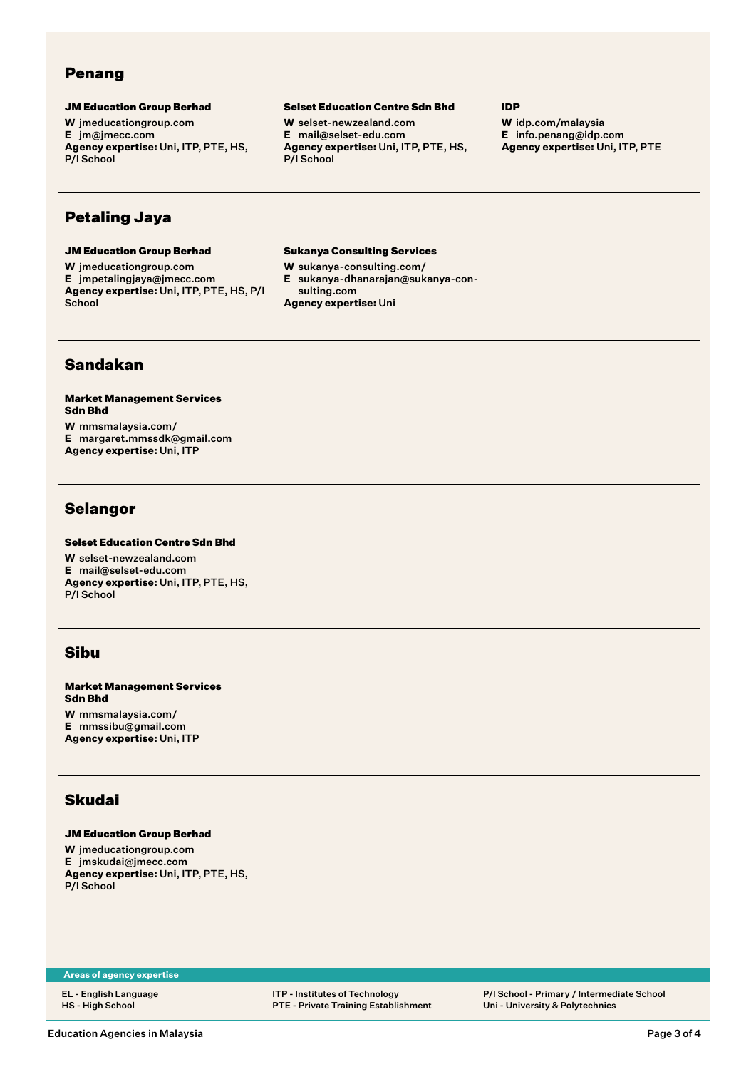# Penang

### JM Education Group Berhad

**W** [jmeducationgroup.com](http://jmeducationgroup.com) **E** [jm@jmecc.com](mailto:jm@jmecc.com) **Agency expertise:** Uni, ITP, PTE, HS, P/I School

#### Selset Education Centre Sdn Bhd

**W** [selset-newzealand.com](http://selset-newzealand.com) **E** [mail@selset-edu.com](mailto:mail@selset-edu.com) **Agency expertise:** Uni, ITP, PTE, HS, P/I School

#### IDP

**W** [idp.com/malaysia](http://idp.com/malaysia) **E** [info.penang@idp.com](mailto:info.penang@idp.com) **Agency expertise:** Uni, ITP, PTE

# Petaling Jaya

#### JM Education Group Berhad

**W** [jmeducationgroup.com](http://jmeducationgroup.com)

**E** [jmpetalingjaya@jmecc.com](mailto:jmpetalingjaya@jmecc.com) **Agency expertise:** Uni, ITP, PTE, HS, P/I **School** 

#### Sukanya Consulting Services

- **W** [sukanya-consulting.com/](http://sukanya-consulting.com/)
- **E** [sukanya-dhanarajan@sukanya-con](mailto:sukanya-dhanarajan@sukanya-consulting.com)[sulting.com](mailto:sukanya-dhanarajan@sukanya-consulting.com)
- **Agency expertise:** Uni

### Sandakan

Market Management Services Sdn Bhd **W** [mmsmalaysia.com/](http://mmsmalaysia.com/)

**E** [margaret.mmssdk@gmail.com](mailto:margaret.mmssdk@gmail.com) **Agency expertise:** Uni, ITP

### **Selangor**

### Selset Education Centre Sdn Bhd

**W** [selset-newzealand.com](http://selset-newzealand.com) **E** [mail@selset-edu.com](mailto:mail@selset-edu.com) **Agency expertise:** Uni, ITP, PTE, HS, P/I School

# Sibu

Market Management Services Sdn Bhd **W** [mmsmalaysia.com/](http://mmsmalaysia.com/)

**E** [mmssibu@gmail.com](mailto:mmssibu@gmail.com) **Agency expertise:** Uni, ITP

# Skudai

### JM Education Group Berhad

**W** [jmeducationgroup.com](http://jmeducationgroup.com) **E** [jmskudai@jmecc.com](mailto:jmskudai@jmecc.com) **Agency expertise:** Uni, ITP, PTE, HS, P/I School

**Areas of agency expertise**

EL - English Language HS - High School

ITP - Institutes of Technology PTE - Private Training Establishment